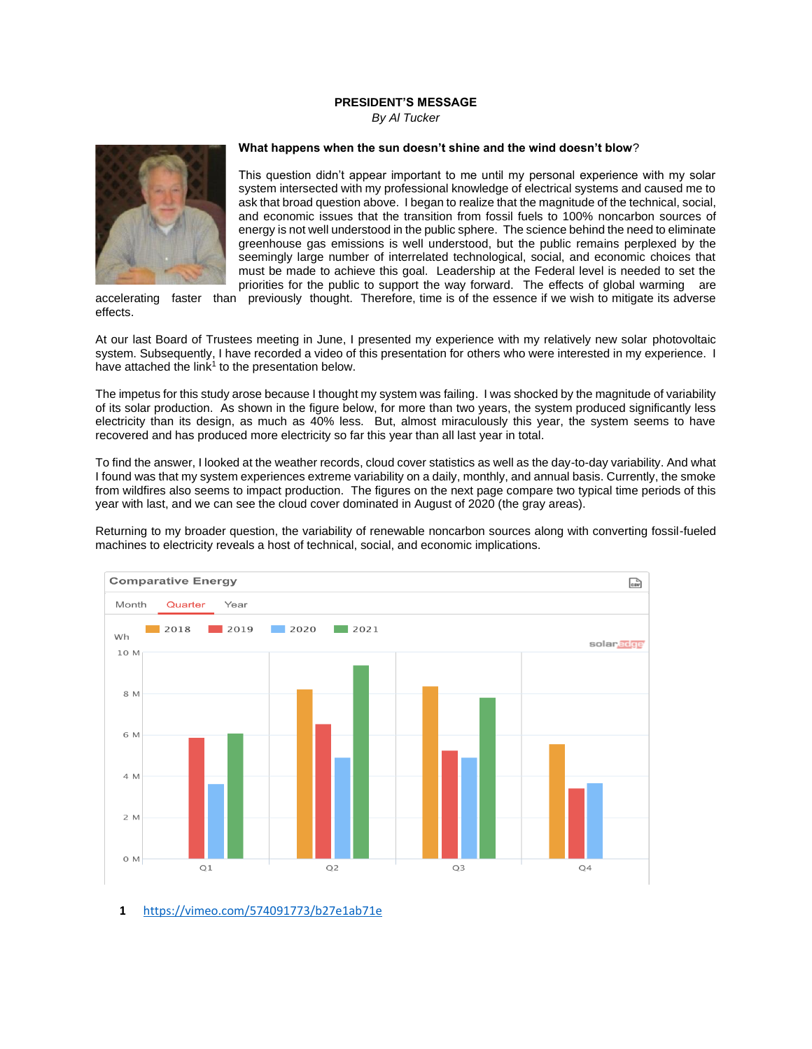## **PRESIDENT'S MESSAGE**

*By Al Tucker*



## **What happens when the sun doesn't shine and the wind doesn't blow**?

This question didn't appear important to me until my personal experience with my solar system intersected with my professional knowledge of electrical systems and caused me to ask that broad question above. I began to realize that the magnitude of the technical, social, and economic issues that the transition from fossil fuels to 100% noncarbon sources of energy is not well understood in the public sphere. The science behind the need to eliminate greenhouse gas emissions is well understood, but the public remains perplexed by the seemingly large number of interrelated technological, social, and economic choices that must be made to achieve this goal. Leadership at the Federal level is needed to set the priorities for the public to support the way forward. The effects of global warming are

accelerating faster than previously thought. Therefore, time is of the essence if we wish to mitigate its adverse effects.

At our last Board of Trustees meeting in June, I presented my experience with my relatively new solar photovoltaic system. Subsequently, I have recorded a video of this presentation for others who were interested in my experience. I have attached the link<sup>1</sup> to the presentation below.

The impetus for this study arose because I thought my system was failing. I was shocked by the magnitude of variability of its solar production. As shown in the figure below, for more than two years, the system produced significantly less electricity than its design, as much as 40% less. But, almost miraculously this year, the system seems to have recovered and has produced more electricity so far this year than all last year in total.

To find the answer, I looked at the weather records, cloud cover statistics as well as the day-to-day variability. And what I found was that my system experiences extreme variability on a daily, monthly, and annual basis. Currently, the smoke from wildfires also seems to impact production. The figures on the next page compare two typical time periods of this year with last, and we can see the cloud cover dominated in August of 2020 (the gray areas).

Returning to my broader question, the variability of renewable noncarbon sources along with converting fossil-fueled machines to electricity reveals a host of technical, social, and economic implications.



**1** <https://vimeo.com/574091773/b27e1ab71e>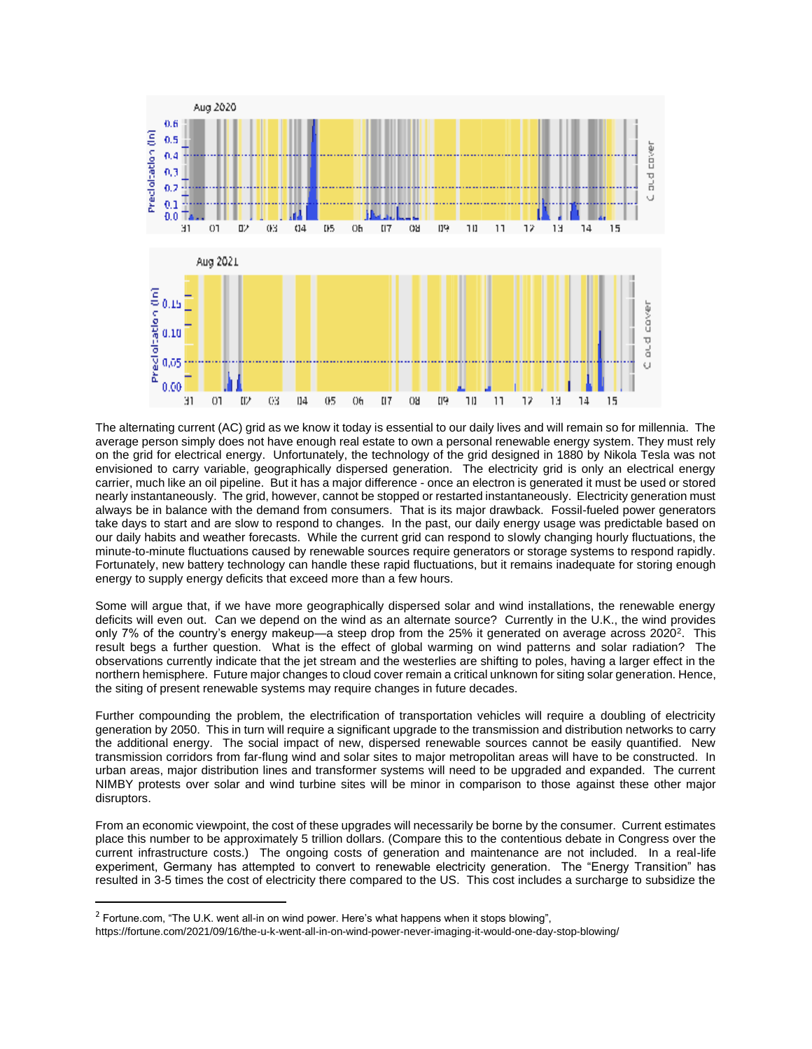

The alternating current (AC) grid as we know it today is essential to our daily lives and will remain so for millennia. The average person simply does not have enough real estate to own a personal renewable energy system. They must rely on the grid for electrical energy. Unfortunately, the technology of the grid designed in 1880 by Nikola Tesla was not envisioned to carry variable, geographically dispersed generation. The electricity grid is only an electrical energy carrier, much like an oil pipeline. But it has a major difference - once an electron is generated it must be used or stored nearly instantaneously. The grid, however, cannot be stopped or restarted instantaneously. Electricity generation must always be in balance with the demand from consumers. That is its major drawback. Fossil-fueled power generators take days to start and are slow to respond to changes. In the past, our daily energy usage was predictable based on our daily habits and weather forecasts. While the current grid can respond to slowly changing hourly fluctuations, the minute-to-minute fluctuations caused by renewable sources require generators or storage systems to respond rapidly. Fortunately, new battery technology can handle these rapid fluctuations, but it remains inadequate for storing enough energy to supply energy deficits that exceed more than a few hours.

Some will argue that, if we have more geographically dispersed solar and wind installations, the renewable energy deficits will even out. Can we depend on the wind as an alternate source? Currently in the U.K., the wind provides only 7% of the country's energy makeup—a steep drop from the 25% it generated on average across 2020<sup>2</sup>. This result begs a further question. What is the effect of global warming on wind patterns and solar radiation? The observations currently indicate that the jet stream and the westerlies are shifting to poles, having a larger effect in the northern hemisphere. Future major changes to cloud cover remain a critical unknown for siting solar generation. Hence, the siting of present renewable systems may require changes in future decades.

Further compounding the problem, the electrification of transportation vehicles will require a doubling of electricity generation by 2050. This in turn will require a significant upgrade to the transmission and distribution networks to carry the additional energy. The social impact of new, dispersed renewable sources cannot be easily quantified. New transmission corridors from far-flung wind and solar sites to major metropolitan areas will have to be constructed. In urban areas, major distribution lines and transformer systems will need to be upgraded and expanded. The current NIMBY protests over solar and wind turbine sites will be minor in comparison to those against these other major disruptors.

From an economic viewpoint, the cost of these upgrades will necessarily be borne by the consumer. Current estimates place this number to be approximately 5 trillion dollars. (Compare this to the contentious debate in Congress over the current infrastructure costs.) The ongoing costs of generation and maintenance are not included. In a real-life experiment, Germany has attempted to convert to renewable electricity generation. The "Energy Transition" has resulted in 3-5 times the cost of electricity there compared to the US. This cost includes a surcharge to subsidize the

<sup>&</sup>lt;sup>2</sup> Fortune.com, "The U.K. went all-in on wind power. Here's what happens when it stops blowing",

https://fortune.com/2021/09/16/the-u-k-went-all-in-on-wind-power-never-imaging-it-would-one-day-stop-blowing/